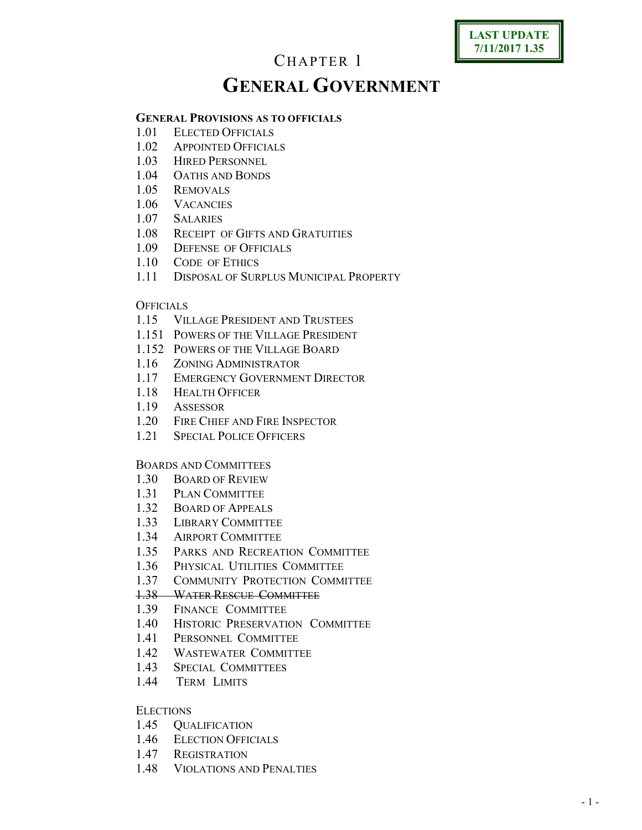# **LAST UPDATE 7/11/2017 1.35**

# CHAPTER 1 **GENERAL GOVERNMENT**

## **GENERAL PROVISIONS AS TO OFFICIALS**

- 1.01 ELECTED OFFICIALS
- 1.02 APPOINTED OFFICIALS
- 1.03 HIRED PERSONNEL
- 1.04 OATHS AND BONDS
- 1.05 REMOVALS
- 1.06 VACANCIES
- 1.07 SALARIES
- 1.08 RECEIPT OF GIFTS AND GRATUITIES
- 1.09 DEFENSE OF OFFICIALS
- 1.10 CODE OF ETHICS
- 1.11 DISPOSAL OF SURPLUS MUNICIPAL PROPERTY

#### **OFFICIALS**

- 1.15 VILLAGE PRESIDENT AND TRUSTEES
- 1.151 POWERS OF THE VILLAGE PRESIDENT
- 1.152 POWERS OF THE VILLAGE BOARD
- 1.16 ZONING ADMINISTRATOR
- 1.17 EMERGENCY GOVERNMENT DIRECTOR
- 1.18 HEALTH OFFICER
- 1.19 ASSESSOR
- 1.20 FIRE CHIEF AND FIRE INSPECTOR
- 1.21 SPECIAL POLICE OFFICERS

## BOARDS AND COMMITTEES

- 1.30 BOARD OF REVIEW
- 1.31 PLAN COMMITTEE
- 1.32 BOARD OF APPEALS
- 1.33 LIBRARY COMMITTEE
- 1.34 AIRPORT COMMITTEE
- 1.35 PARKS AND RECREATION COMMITTEE
- 1.36 PHYSICAL UTILITIES COMMITTEE
- 1.37 COMMUNITY PROTECTION COMMITTEE

#### 1.38 WATER RESCUE COMMITTEE

- 1.39 FINANCE COMMITTEE
- 1.40 HISTORIC PRESERVATION COMMITTEE
- 1.41 PERSONNEL COMMITTEE
- 1.42 WASTEWATER COMMITTEE
- 1.43 SPECIAL COMMITTEES
- 1.44 TERM LIMITS

#### **ELECTIONS**

- 1.45 QUALIFICATION
- 1.46 ELECTION OFFICIALS
- 1.47 REGISTRATION
- 1.48 VIOLATIONS AND PENALTIES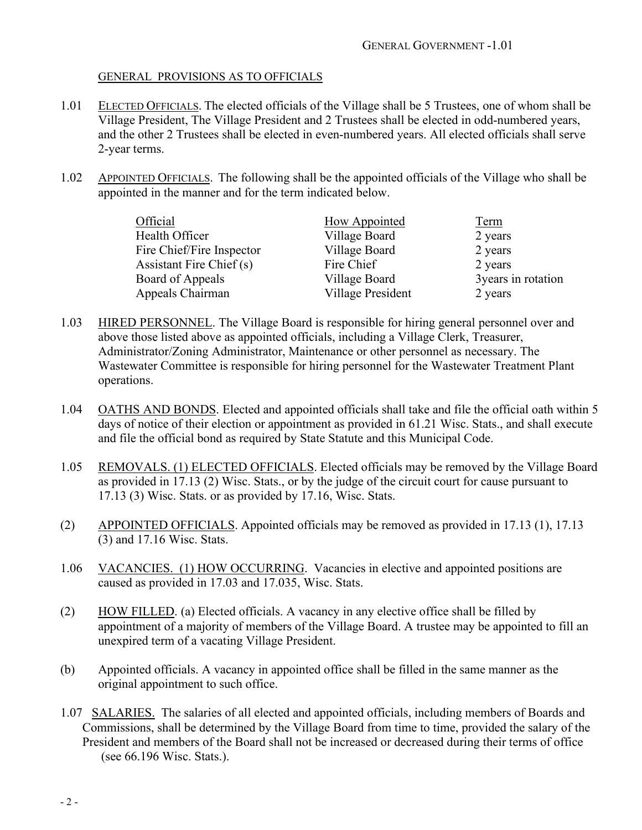#### GENERAL PROVISIONS AS TO OFFICIALS

- 1.01 ELECTED OFFICIALS. The elected officials of the Village shall be 5 Trustees, one of whom shall be Village President, The Village President and 2 Trustees shall be elected in odd-numbered years, and the other 2 Trustees shall be elected in even-numbered years. All elected officials shall serve 2-year terms.
- 1.02 APPOINTED OFFICIALS. The following shall be the appointed officials of the Village who shall be appointed in the manner and for the term indicated below.

| Official                  | How Appointed     | Term                |
|---------------------------|-------------------|---------------------|
| Health Officer            | Village Board     | 2 years             |
| Fire Chief/Fire Inspector | Village Board     | 2 years             |
| Assistant Fire Chief (s)  | Fire Chief        | 2 years             |
| Board of Appeals          | Village Board     | 3 years in rotation |
| Appeals Chairman          | Village President | 2 years             |

- 1.03 HIRED PERSONNEL. The Village Board is responsible for hiring general personnel over and above those listed above as appointed officials, including a Village Clerk, Treasurer, Administrator/Zoning Administrator, Maintenance or other personnel as necessary. The Wastewater Committee is responsible for hiring personnel for the Wastewater Treatment Plant operations.
- 1.04 OATHS AND BONDS. Elected and appointed officials shall take and file the official oath within 5 days of notice of their election or appointment as provided in 61.21 Wisc. Stats., and shall execute and file the official bond as required by State Statute and this Municipal Code.
- 1.05 REMOVALS. (1) ELECTED OFFICIALS. Elected officials may be removed by the Village Board as provided in 17.13 (2) Wisc. Stats., or by the judge of the circuit court for cause pursuant to 17.13 (3) Wisc. Stats. or as provided by 17.16, Wisc. Stats.
- (2) APPOINTED OFFICIALS. Appointed officials may be removed as provided in 17.13 (1), 17.13 (3) and 17.16 Wisc. Stats.
- 1.06 VACANCIES. (1) HOW OCCURRING. Vacancies in elective and appointed positions are caused as provided in 17.03 and 17.035, Wisc. Stats.
- (2) HOW FILLED. (a) Elected officials. A vacancy in any elective office shall be filled by appointment of a majority of members of the Village Board. A trustee may be appointed to fill an unexpired term of a vacating Village President.
- (b) Appointed officials. A vacancy in appointed office shall be filled in the same manner as the original appointment to such office.
- 1.07 SALARIES. The salaries of all elected and appointed officials, including members of Boards and Commissions, shall be determined by the Village Board from time to time, provided the salary of the President and members of the Board shall not be increased or decreased during their terms of office (see 66.196 Wisc. Stats.).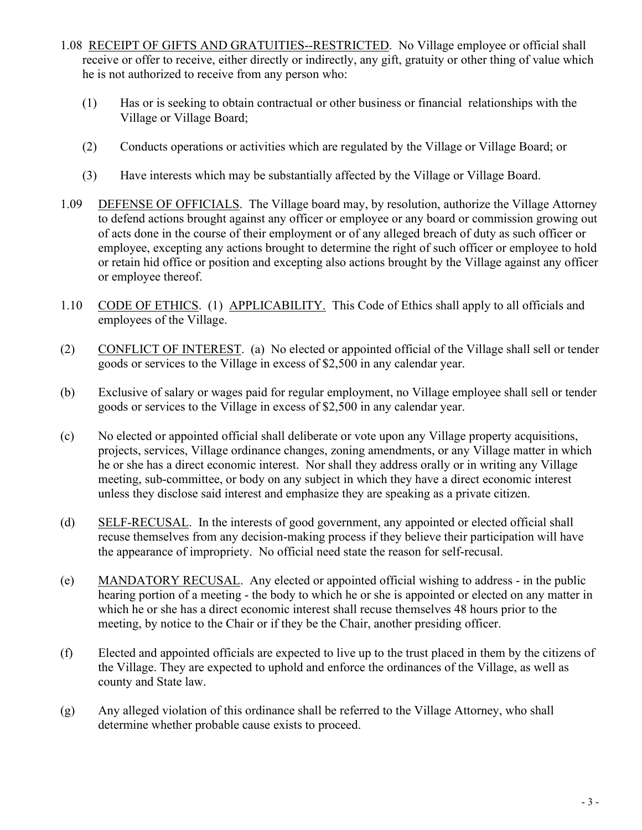- 1.08 RECEIPT OF GIFTS AND GRATUITIES--RESTRICTED. No Village employee or official shall receive or offer to receive, either directly or indirectly, any gift, gratuity or other thing of value which he is not authorized to receive from any person who:
	- (1) Has or is seeking to obtain contractual or other business or financial relationships with the Village or Village Board;
	- (2) Conducts operations or activities which are regulated by the Village or Village Board; or
	- (3) Have interests which may be substantially affected by the Village or Village Board.
- 1.09 DEFENSE OF OFFICIALS. The Village board may, by resolution, authorize the Village Attorney to defend actions brought against any officer or employee or any board or commission growing out of acts done in the course of their employment or of any alleged breach of duty as such officer or employee, excepting any actions brought to determine the right of such officer or employee to hold or retain hid office or position and excepting also actions brought by the Village against any officer or employee thereof.
- 1.10 CODE OF ETHICS. (1) APPLICABILITY. This Code of Ethics shall apply to all officials and employees of the Village.
- (2) CONFLICT OF INTEREST. (a) No elected or appointed official of the Village shall sell or tender goods or services to the Village in excess of \$2,500 in any calendar year.
- (b) Exclusive of salary or wages paid for regular employment, no Village employee shall sell or tender goods or services to the Village in excess of \$2,500 in any calendar year.
- (c) No elected or appointed official shall deliberate or vote upon any Village property acquisitions, projects, services, Village ordinance changes, zoning amendments, or any Village matter in which he or she has a direct economic interest. Nor shall they address orally or in writing any Village meeting, sub-committee, or body on any subject in which they have a direct economic interest unless they disclose said interest and emphasize they are speaking as a private citizen.
- (d) SELF-RECUSAL. In the interests of good government, any appointed or elected official shall recuse themselves from any decision-making process if they believe their participation will have the appearance of impropriety. No official need state the reason for self-recusal.
- (e) MANDATORY RECUSAL. Any elected or appointed official wishing to address in the public hearing portion of a meeting - the body to which he or she is appointed or elected on any matter in which he or she has a direct economic interest shall recuse themselves 48 hours prior to the meeting, by notice to the Chair or if they be the Chair, another presiding officer.
- (f) Elected and appointed officials are expected to live up to the trust placed in them by the citizens of the Village. They are expected to uphold and enforce the ordinances of the Village, as well as county and State law.
- (g) Any alleged violation of this ordinance shall be referred to the Village Attorney, who shall determine whether probable cause exists to proceed.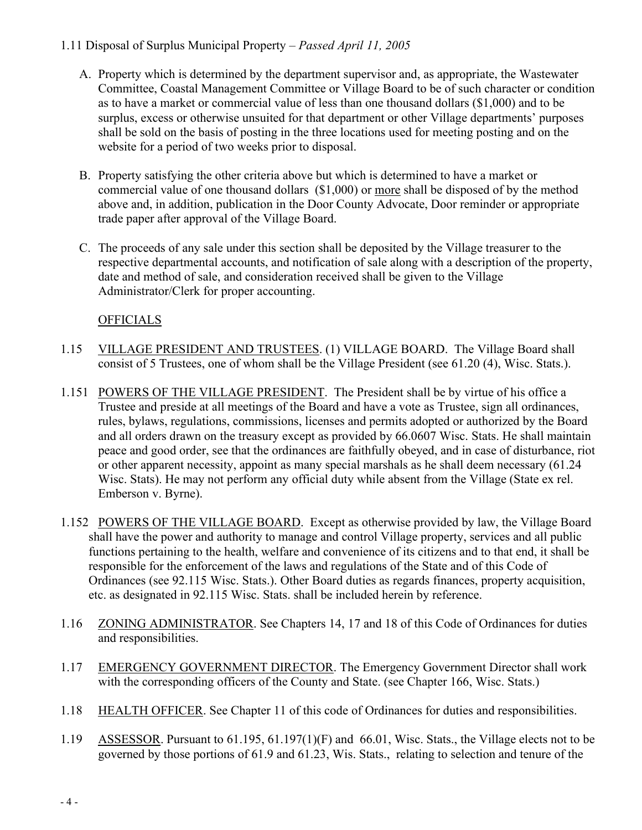# 1.11 Disposal of Surplus Municipal Property – *Passed April 11, 2005*

- A. Property which is determined by the department supervisor and, as appropriate, the Wastewater Committee, Coastal Management Committee or Village Board to be of such character or condition as to have a market or commercial value of less than one thousand dollars (\$1,000) and to be surplus, excess or otherwise unsuited for that department or other Village departments' purposes shall be sold on the basis of posting in the three locations used for meeting posting and on the website for a period of two weeks prior to disposal.
- B. Property satisfying the other criteria above but which is determined to have a market or commercial value of one thousand dollars (\$1,000) or more shall be disposed of by the method above and, in addition, publication in the Door County Advocate, Door reminder or appropriate trade paper after approval of the Village Board.
- C. The proceeds of any sale under this section shall be deposited by the Village treasurer to the respective departmental accounts, and notification of sale along with a description of the property, date and method of sale, and consideration received shall be given to the Village Administrator/Clerk for proper accounting.

# **OFFICIALS**

- 1.15 VILLAGE PRESIDENT AND TRUSTEES. (1) VILLAGE BOARD. The Village Board shall consist of 5 Trustees, one of whom shall be the Village President (see 61.20 (4), Wisc. Stats.).
- 1.151 POWERS OF THE VILLAGE PRESIDENT. The President shall be by virtue of his office a Trustee and preside at all meetings of the Board and have a vote as Trustee, sign all ordinances, rules, bylaws, regulations, commissions, licenses and permits adopted or authorized by the Board and all orders drawn on the treasury except as provided by 66.0607 Wisc. Stats. He shall maintain peace and good order, see that the ordinances are faithfully obeyed, and in case of disturbance, riot or other apparent necessity, appoint as many special marshals as he shall deem necessary (61.24 Wisc. Stats). He may not perform any official duty while absent from the Village (State ex rel. Emberson v. Byrne).
- 1.152 POWERS OF THE VILLAGE BOARD. Except as otherwise provided by law, the Village Board shall have the power and authority to manage and control Village property, services and all public functions pertaining to the health, welfare and convenience of its citizens and to that end, it shall be responsible for the enforcement of the laws and regulations of the State and of this Code of Ordinances (see 92.115 Wisc. Stats.). Other Board duties as regards finances, property acquisition, etc. as designated in 92.115 Wisc. Stats. shall be included herein by reference.
- 1.16 ZONING ADMINISTRATOR. See Chapters 14, 17 and 18 of this Code of Ordinances for duties and responsibilities.
- 1.17 EMERGENCY GOVERNMENT DIRECTOR. The Emergency Government Director shall work with the corresponding officers of the County and State. (see Chapter 166, Wisc. Stats.)
- 1.18 HEALTH OFFICER. See Chapter 11 of this code of Ordinances for duties and responsibilities.
- 1.19 ASSESSOR. Pursuant to 61.195, 61.197(1)(F) and 66.01, Wisc. Stats., the Village elects not to be governed by those portions of 61.9 and 61.23, Wis. Stats., relating to selection and tenure of the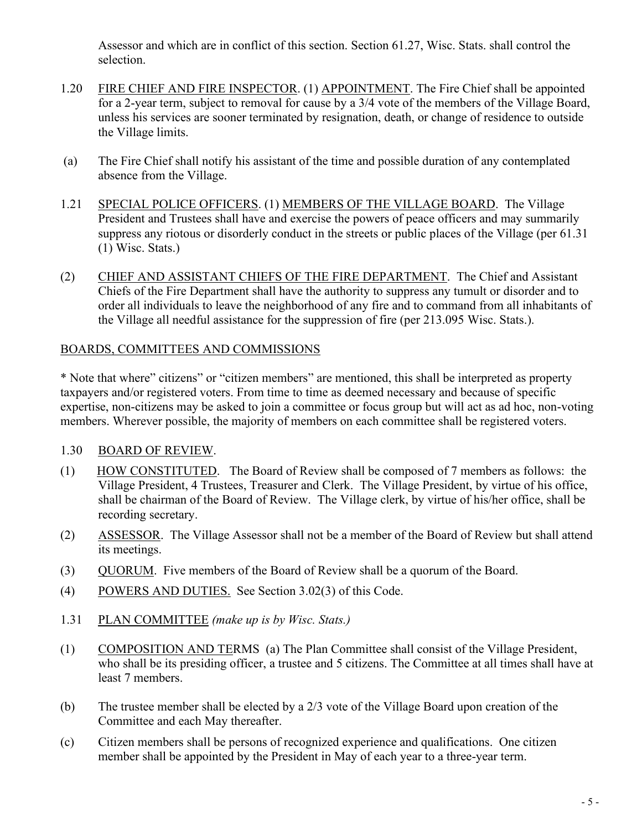Assessor and which are in conflict of this section. Section 61.27, Wisc. Stats. shall control the selection.

- 1.20 FIRE CHIEF AND FIRE INSPECTOR. (1) APPOINTMENT. The Fire Chief shall be appointed for a 2-year term, subject to removal for cause by a 3/4 vote of the members of the Village Board, unless his services are sooner terminated by resignation, death, or change of residence to outside the Village limits.
- (a) The Fire Chief shall notify his assistant of the time and possible duration of any contemplated absence from the Village.
- 1.21 SPECIAL POLICE OFFICERS. (1) MEMBERS OF THE VILLAGE BOARD. The Village President and Trustees shall have and exercise the powers of peace officers and may summarily suppress any riotous or disorderly conduct in the streets or public places of the Village (per 61.31 (1) Wisc. Stats.)
- (2) CHIEF AND ASSISTANT CHIEFS OF THE FIRE DEPARTMENT. The Chief and Assistant Chiefs of the Fire Department shall have the authority to suppress any tumult or disorder and to order all individuals to leave the neighborhood of any fire and to command from all inhabitants of the Village all needful assistance for the suppression of fire (per 213.095 Wisc. Stats.).

## BOARDS, COMMITTEES AND COMMISSIONS

\* Note that where" citizens" or "citizen members" are mentioned, this shall be interpreted as property taxpayers and/or registered voters. From time to time as deemed necessary and because of specific expertise, non-citizens may be asked to join a committee or focus group but will act as ad hoc, non-voting members. Wherever possible, the majority of members on each committee shall be registered voters.

# 1.30 BOARD OF REVIEW.

- (1) HOW CONSTITUTED. The Board of Review shall be composed of 7 members as follows: the Village President, 4 Trustees, Treasurer and Clerk. The Village President, by virtue of his office, shall be chairman of the Board of Review. The Village clerk, by virtue of his/her office, shall be recording secretary.
- (2) ASSESSOR. The Village Assessor shall not be a member of the Board of Review but shall attend its meetings.
- (3) QUORUM. Five members of the Board of Review shall be a quorum of the Board.
- (4) POWERS AND DUTIES. See Section 3.02(3) of this Code.
- 1.31 PLAN COMMITTEE *(make up is by Wisc. Stats.)*
- (1) COMPOSITION AND TERMS (a) The Plan Committee shall consist of the Village President, who shall be its presiding officer, a trustee and 5 citizens. The Committee at all times shall have at least 7 members.
- (b) The trustee member shall be elected by a 2/3 vote of the Village Board upon creation of the Committee and each May thereafter.
- (c) Citizen members shall be persons of recognized experience and qualifications. One citizen member shall be appointed by the President in May of each year to a three-year term.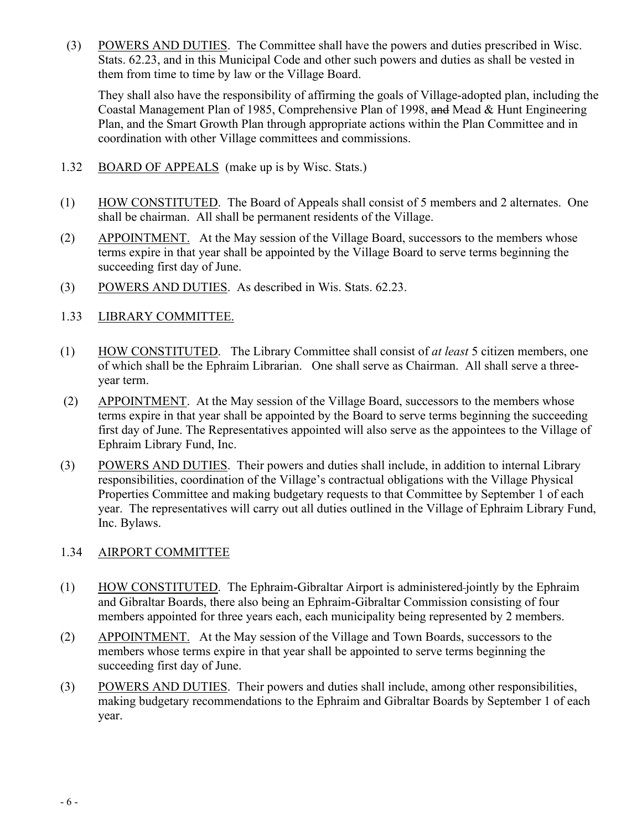(3) POWERS AND DUTIES. The Committee shall have the powers and duties prescribed in Wisc. Stats. 62.23, and in this Municipal Code and other such powers and duties as shall be vested in them from time to time by law or the Village Board.

They shall also have the responsibility of affirming the goals of Village-adopted plan, including the Coastal Management Plan of 1985, Comprehensive Plan of 1998, and Mead & Hunt Engineering Plan, and the Smart Growth Plan through appropriate actions within the Plan Committee and in coordination with other Village committees and commissions.

- 1.32 BOARD OF APPEALS (make up is by Wisc. Stats.)
- (1) HOW CONSTITUTED. The Board of Appeals shall consist of 5 members and 2 alternates. One shall be chairman. All shall be permanent residents of the Village.
- (2) APPOINTMENT. At the May session of the Village Board, successors to the members whose terms expire in that year shall be appointed by the Village Board to serve terms beginning the succeeding first day of June.
- (3) POWERS AND DUTIES. As described in Wis. Stats. 62.23.
- 1.33 LIBRARY COMMITTEE.
- (1) HOW CONSTITUTED. The Library Committee shall consist of *at least* 5 citizen members, one of which shall be the Ephraim Librarian. One shall serve as Chairman. All shall serve a threeyear term.
- (2) APPOINTMENT. At the May session of the Village Board, successors to the members whose terms expire in that year shall be appointed by the Board to serve terms beginning the succeeding first day of June. The Representatives appointed will also serve as the appointees to the Village of Ephraim Library Fund, Inc.
- (3) POWERS AND DUTIES. Their powers and duties shall include, in addition to internal Library responsibilities, coordination of the Village's contractual obligations with the Village Physical Properties Committee and making budgetary requests to that Committee by September 1 of each year. The representatives will carry out all duties outlined in the Village of Ephraim Library Fund, Inc. Bylaws.

## 1.34 AIRPORT COMMITTEE

- (1) HOW CONSTITUTED. The Ephraim-Gibraltar Airport is administered jointly by the Ephraim and Gibraltar Boards, there also being an Ephraim-Gibraltar Commission consisting of four members appointed for three years each, each municipality being represented by 2 members.
- (2) APPOINTMENT. At the May session of the Village and Town Boards, successors to the members whose terms expire in that year shall be appointed to serve terms beginning the succeeding first day of June.
- (3) POWERS AND DUTIES. Their powers and duties shall include, among other responsibilities, making budgetary recommendations to the Ephraim and Gibraltar Boards by September 1 of each year.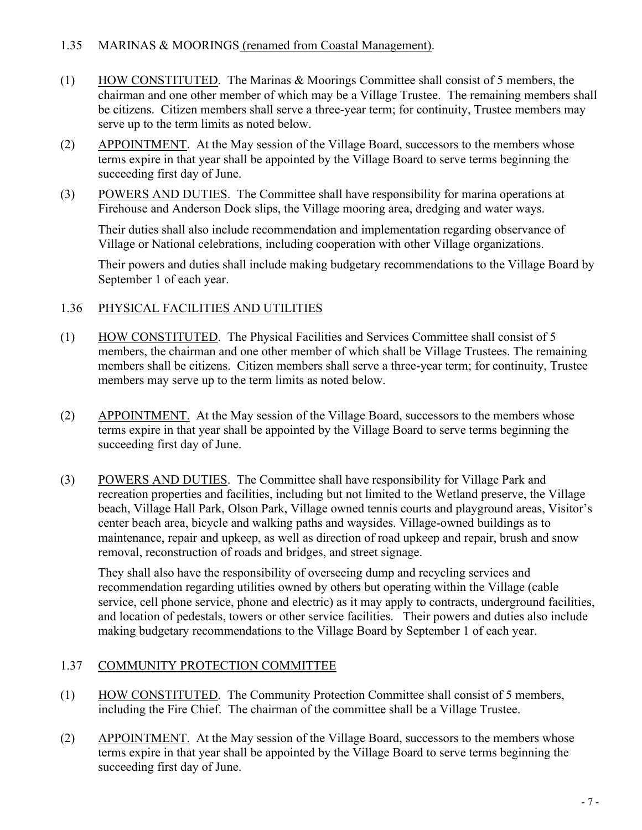## 1.35 MARINAS & MOORINGS (renamed from Coastal Management).

- (1) HOW CONSTITUTED. The Marinas & Moorings Committee shall consist of 5 members, the chairman and one other member of which may be a Village Trustee. The remaining members shall be citizens. Citizen members shall serve a three-year term; for continuity, Trustee members may serve up to the term limits as noted below.
- (2) APPOINTMENT. At the May session of the Village Board, successors to the members whose terms expire in that year shall be appointed by the Village Board to serve terms beginning the succeeding first day of June.
- (3) POWERS AND DUTIES. The Committee shall have responsibility for marina operations at Firehouse and Anderson Dock slips, the Village mooring area, dredging and water ways.

Their duties shall also include recommendation and implementation regarding observance of Village or National celebrations, including cooperation with other Village organizations.

Their powers and duties shall include making budgetary recommendations to the Village Board by September 1 of each year.

## 1.36 PHYSICAL FACILITIES AND UTILITIES

- (1) HOW CONSTITUTED. The Physical Facilities and Services Committee shall consist of 5 members, the chairman and one other member of which shall be Village Trustees. The remaining members shall be citizens. Citizen members shall serve a three-year term; for continuity, Trustee members may serve up to the term limits as noted below.
- (2) APPOINTMENT. At the May session of the Village Board, successors to the members whose terms expire in that year shall be appointed by the Village Board to serve terms beginning the succeeding first day of June.
- (3) POWERS AND DUTIES. The Committee shall have responsibility for Village Park and recreation properties and facilities, including but not limited to the Wetland preserve, the Village beach, Village Hall Park, Olson Park, Village owned tennis courts and playground areas, Visitor's center beach area, bicycle and walking paths and waysides. Village-owned buildings as to maintenance, repair and upkeep, as well as direction of road upkeep and repair, brush and snow removal, reconstruction of roads and bridges, and street signage.

They shall also have the responsibility of overseeing dump and recycling services and recommendation regarding utilities owned by others but operating within the Village (cable service, cell phone service, phone and electric) as it may apply to contracts, underground facilities, and location of pedestals, towers or other service facilities. Their powers and duties also include making budgetary recommendations to the Village Board by September 1 of each year.

## 1.37 COMMUNITY PROTECTION COMMITTEE

- (1) HOW CONSTITUTED. The Community Protection Committee shall consist of 5 members, including the Fire Chief. The chairman of the committee shall be a Village Trustee.
- (2) APPOINTMENT. At the May session of the Village Board, successors to the members whose terms expire in that year shall be appointed by the Village Board to serve terms beginning the succeeding first day of June.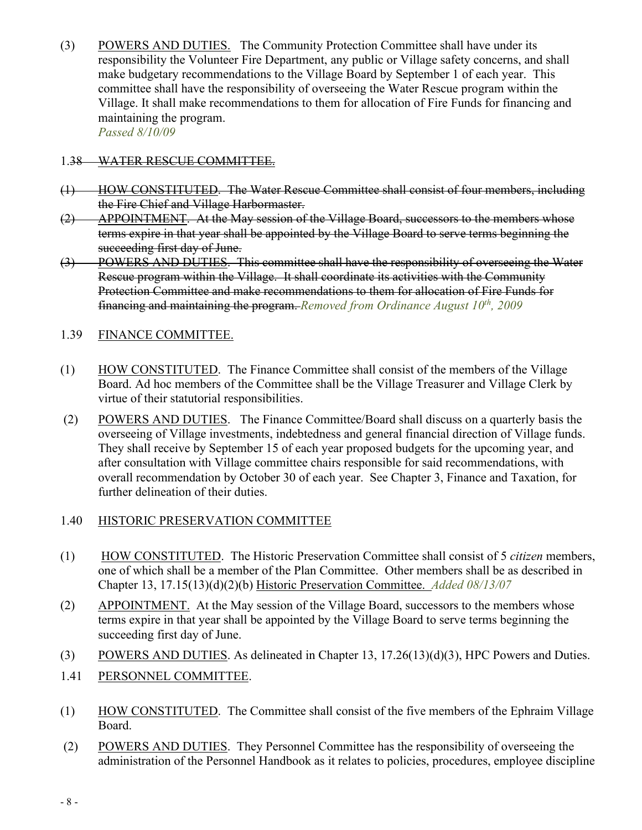(3) POWERS AND DUTIES. The Community Protection Committee shall have under its responsibility the Volunteer Fire Department, any public or Village safety concerns, and shall make budgetary recommendations to the Village Board by September 1 of each year. This committee shall have the responsibility of overseeing the Water Rescue program within the Village. It shall make recommendations to them for allocation of Fire Funds for financing and maintaining the program. *Passed 8/10/09*

#### 1.38 WATER RESCUE COMMITTEE.

- (1) HOW CONSTITUTED. The Water Rescue Committee shall consist of four members, including the Fire Chief and Village Harbormaster.
- (2) APPOINTMENT. At the May session of the Village Board, successors to the members whose terms expire in that year shall be appointed by the Village Board to serve terms beginning the succeeding first day of June.
- (3) POWERS AND DUTIES. This committee shall have the responsibility of overseeing the Water Rescue program within the Village. It shall coordinate its activities with the Community Protection Committee and make recommendations to them for allocation of Fire Funds for financing and maintaining the program. *Removed from Ordinance August 10th, 2009*

#### 1.39 FINANCE COMMITTEE.

- (1) HOW CONSTITUTED. The Finance Committee shall consist of the members of the Village Board. Ad hoc members of the Committee shall be the Village Treasurer and Village Clerk by virtue of their statutorial responsibilities.
- (2) POWERS AND DUTIES. The Finance Committee/Board shall discuss on a quarterly basis the overseeing of Village investments, indebtedness and general financial direction of Village funds. They shall receive by September 15 of each year proposed budgets for the upcoming year, and after consultation with Village committee chairs responsible for said recommendations, with overall recommendation by October 30 of each year. See Chapter 3, Finance and Taxation, for further delineation of their duties.

#### 1.40 HISTORIC PRESERVATION COMMITTEE

- (1) HOW CONSTITUTED. The Historic Preservation Committee shall consist of 5 *citizen* members, one of which shall be a member of the Plan Committee. Other members shall be as described in Chapter 13, 17.15(13)(d)(2)(b) Historic Preservation Committee. *Added 08/13/07*
- (2) APPOINTMENT. At the May session of the Village Board, successors to the members whose terms expire in that year shall be appointed by the Village Board to serve terms beginning the succeeding first day of June.
- (3) POWERS AND DUTIES. As delineated in Chapter 13, 17.26(13)(d)(3), HPC Powers and Duties.
- 1.41 PERSONNEL COMMITTEE.
- (1) HOW CONSTITUTED. The Committee shall consist of the five members of the Ephraim Village Board.
- (2) POWERS AND DUTIES. They Personnel Committee has the responsibility of overseeing the administration of the Personnel Handbook as it relates to policies, procedures, employee discipline